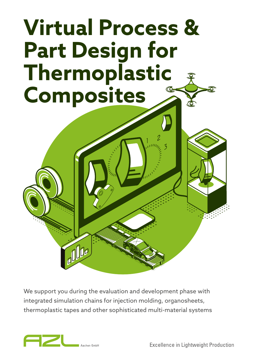# **Virtual Process & Part Design for Thermoplastic Composites**

We support you during the evaluation and development phase with integrated simulation chains for injection molding, organosheets, thermoplastic tapes and other sophisticated multi-material systems



ODe

**Excellence in Lightweight Production**